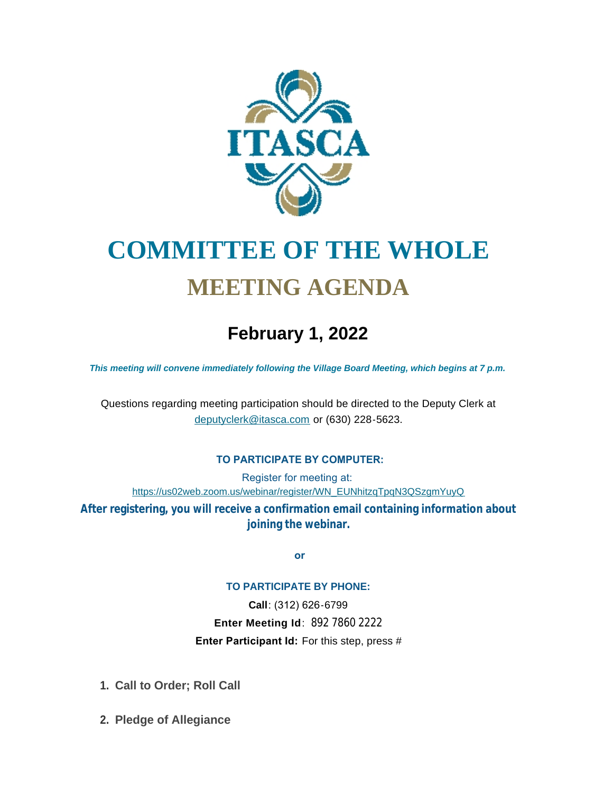

# **COMMITTEE OF THE WHOLE MEETING AGENDA**

# **February 1, 2022**

*This meeting will convene immediately following the Village Board Meeting, which begins at 7 p.m.*

[Questions regarding meeting participation sh](mailto:deputyclerk@itasca.com)ould be directed to the Deputy Clerk at deputyclerk@itasca.com or (630) 228-5623.

### **TO PARTICIPATE BY COMPUTER:**

Register for meeting at: [https://us02web.zoom.us/webinar/register/WN\\_EUNhitzqTpqN3QSzgmYuyQ](https://us02web.zoom.us/webinar/register/WN_EUNhitzqTpqN3QSzgmYuyQ)

**After registering, you will receive a confirmation email containing information about joining the webinar.**

 **or**

#### **TO PARTICIPATE BY PHONE:**

**Call**: (312) 626-6799 **Enter Meeting Id**: 892 7860 2222 **Enter Participant Id:** For this step, press #

- **Call to Order; Roll Call 1.**
- **Pledge of Allegiance 2.**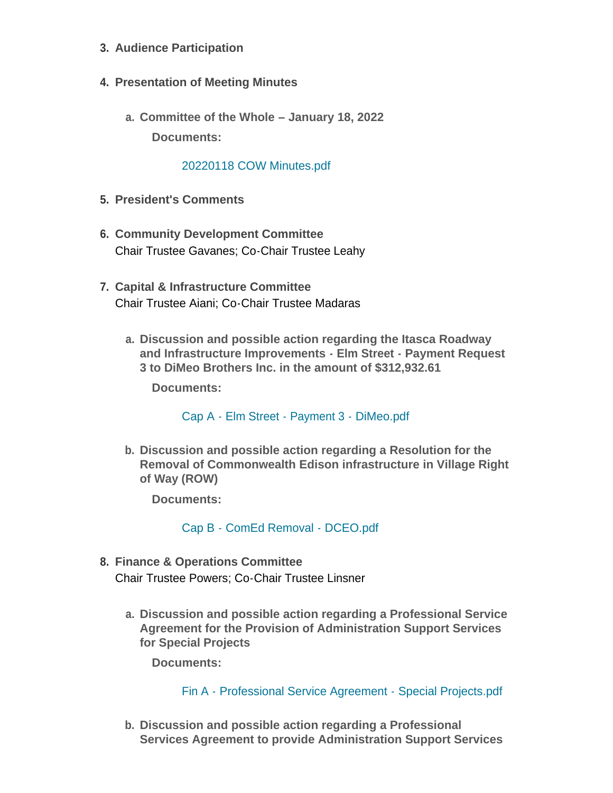- **Audience Participation 3.**
- **Presentation of Meeting Minutes 4.**
	- **Committee of the Whole – January 18, 2022 a. Documents:**

## [20220118 COW Minutes.pdf](http://www.itasca.com/AgendaCenter/ViewFile/Item/7371?fileID=9384)

- **President's Comments 5.**
- **Community Development Committee 6.** Chair Trustee Gavanes; Co-Chair Trustee Leahy
- **Capital & Infrastructure Committee 7.** Chair Trustee Aiani; Co-Chair Trustee Madaras
	- **Discussion and possible action regarding the Itasca Roadway a. and Infrastructure Improvements - Elm Street - Payment Request 3 to DiMeo Brothers Inc. in the amount of \$312,932.61**

**Documents:**

[Cap A - Elm Street - Payment 3 - DiMeo.pdf](http://www.itasca.com/AgendaCenter/ViewFile/Item/7372?fileID=9392)

**Discussion and possible action regarding a Resolution for the b. Removal of Commonwealth Edison infrastructure in Village Right of Way (ROW)**

**Documents:**

[Cap B - ComEd Removal - DCEO.pdf](http://www.itasca.com/AgendaCenter/ViewFile/Item/7373?fileID=9386)

- **Finance & Operations Committee 8.** Chair Trustee Powers; Co-Chair Trustee Linsner
	- **Discussion and possible action regarding a Professional Service a. Agreement for the Provision of Administration Support Services for Special Projects**

**Documents:**

[Fin A - Professional Service Agreement - Special Projects.pdf](http://www.itasca.com/AgendaCenter/ViewFile/Item/7374?fileID=9387)

**Discussion and possible action regarding a Professional b. Services Agreement to provide Administration Support Services**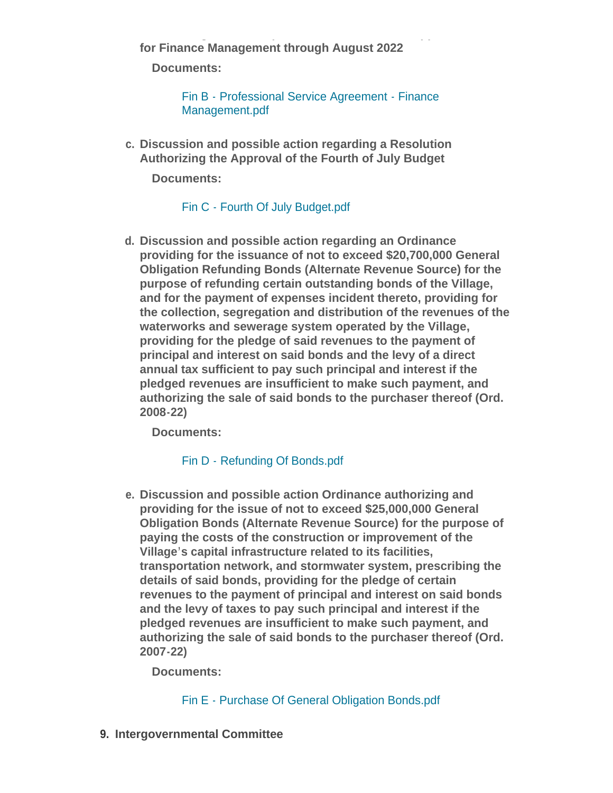**Services Agreement to provide Administration Support Services for Finance Management through August 2022**

**Documents:**

[Fin B - Professional Service Agreement - Finance](http://www.itasca.com/AgendaCenter/ViewFile/Item/7375?fileID=9388)  Management.pdf

**Discussion and possible action regarding a Resolution c. Authorizing the Approval of the Fourth of July Budget**

**Documents:**

[Fin C - Fourth Of July Budget.pdf](http://www.itasca.com/AgendaCenter/ViewFile/Item/7397?fileID=9396)

**Discussion and possible action regarding an Ordinance d. providing for the issuance of not to exceed \$20,700,000 General Obligation Refunding Bonds (Alternate Revenue Source) for the purpose of refunding certain outstanding bonds of the Village, and for the payment of expenses incident thereto, providing for the collection, segregation and distribution of the revenues of the waterworks and sewerage system operated by the Village, providing for the pledge of said revenues to the payment of principal and interest on said bonds and the levy of a direct annual tax sufficient to pay such principal and interest if the pledged revenues are insufficient to make such payment, and authorizing the sale of said bonds to the purchaser thereof (Ord. 2008-22)**

**Documents:**

[Fin D - Refunding Of Bonds.pdf](http://www.itasca.com/AgendaCenter/ViewFile/Item/7395?fileID=9394)

**Discussion and possible action Ordinance authorizing and e. providing for the issue of not to exceed \$25,000,000 General Obligation Bonds (Alternate Revenue Source) for the purpose of paying the costs of the construction or improvement of the Village's capital infrastructure related to its facilities, transportation network, and stormwater system, prescribing the details of said bonds, providing for the pledge of certain revenues to the payment of principal and interest on said bonds and the levy of taxes to pay such principal and interest if the pledged revenues are insufficient to make such payment, and authorizing the sale of said bonds to the purchaser thereof (Ord. 2007-22)**

**Documents:**

# Fin E - [Purchase Of General Obligation Bonds.pdf](http://www.itasca.com/AgendaCenter/ViewFile/Item/7396?fileID=9395)

**Intergovernmental Committee 9.**